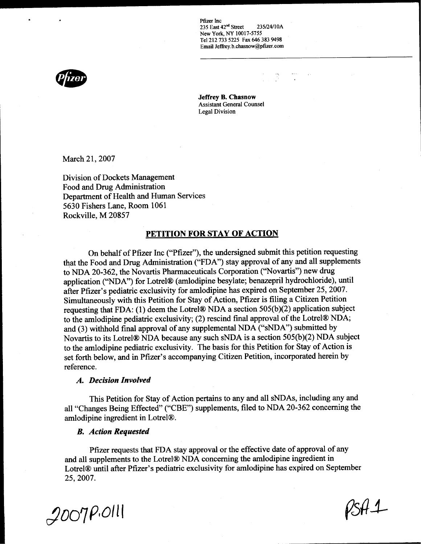Pfizer Inc 235 East 42"° Street 235/24/l0A New York, NY 10017-5755 Tel 212 733 5225 Fax 646 383 9498 Email Jeffrey .b .chasnow@pfizer .com



Jeffrey B. Chasnow Assistant General Counsel Legal Division

March 21, 2007

Division of Dockets Management Food and Drug Administration Department of Health and Human Services 5630 Fishers Lane, Room 1061 Rockville, M 20857

## PETITION FOR STAY OF ACTION

On behalf of Pfizer Inc ("Pfizer"), the undersigned submit this petition requesting that the Food and Drug Administration ("FDA") stay approval of any and all supplements to NDA 20-362, the Novartis Pharmaceuticals Corporation ("Novartis") new drug application ("NDA") for Lotrel® (amlodipine besylate; benazepril hydrochloride), until after Pfizer's pediatric exclusivity for amlodipine has expired on September 25, 2007. Simultaneously with this Petition for Stay of Action, Pfizer is filing a Citizen Petition requesting that FDA: (1) deem the Lotrel® NDA a section  $505(b)(2)$  application subject to the amlodipine pediatric exclusivity; (2) rescind final approval of the Lotrel® NDA; and (3) withhold final approval of any supplemental NDA ("sNDA") submitted by Novartis to its Lotrel® NDA because any such sNDA is a section  $505(b)(2)$  NDA subject to the amlodipine pediatric exclusivity. The basis for this Petition for Stay of Action is set forth below, and in Pfizer's accompanying Citizen Petition, incorporated herein by reference.

#### A. Decision Involved

This Petition for Stay of Action pertains to any and all sNDAs, including any and all "Changes Being Effected" ("CBE") supplements, filed to NDA 20-362 concerning the amlodipine ingredient in Lotrel®.

## B. Action Requested

Pfizer requests that FDA stay approval or the effective date of approval of any and all supplements to the Lotrel® NDA concerning the amlodipine ingredient in Lotrel® until after Pfizer's pediatric exclusivity for amlodipine has expired on September 25, 2007.

 $,011$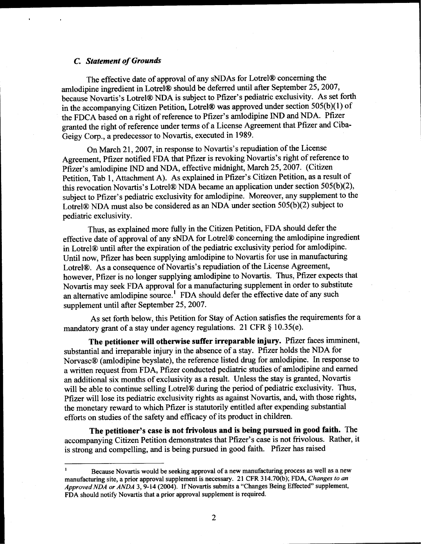# C. Statement of Grounds

The effective date of approval of any sNDAs for Lotrel® concerning the amlodipine ingredient in Lotrel® should be deferred until after September 25, 2007, because Novartis's Lotrel® NDA is subject to Pfizer's pediatric exclusivity. As set forth in the accompanying Citizen Petition, Lotrel® was approved under section  $505(b)(1)$  of the FDCA based on a right of reference to Pfizer's amlodipine IND and NDA. Pfizer granted the right of reference under terms of a License Agreement that Pfizer and Ciba-Geigy Corp., a predecessor to Novartis, executed in 1989.

On March 21, 2007, in response to Novartis's repudiation of the License Agreement, Pfizer notified FDA that Pfizer is revoking Novartis's right of reference to Pfizer's amlodipine IND and NDA, effective midnight, March 25, 2007. (Citizen Petition, Tab 1, Attachment A). As explained in Pfizer's Citizen Petition, as a result of this revocation Novartis's Lotrel® NDA became an application under section 505(b)(2), subject to Pfizer's pediatric exclusivity for amlodipine. Moreover, any supplement to the Lotrel® NDA must also be considered as an NDA under section 505(b)(2) subject to pediatric exclusivity.

Thus, as explained more fully in the Citizen Petition, FDA should defer the effective date of approval of any sNDA for Lotrel® concerning the amlodipine ingredient in Lotrel® until after the expiration of the pediatric exclusivity period for amlodipine. Until now, Pfizer has been supplying amlodipine to Novartis for use in manufacturing Lotrel®. As a consequence of Novartis's repudiation of the License Agreement, however, Pfizer is no longer supplying amlodipine to Novartis. Thus, Pfizer expects that Novartis may seek FDA approval for a manufacturing supplement in order to substitute an alternative amlodipine source .' FDA should defer the effective date of any such supplement until after September 25, 2007.

As set forth below, this Petition for Stay of Action satisfies the requirements for a mandatory grant of a stay under agency regulations. 21 CFR  $\S$  10.35(e).

The petitioner will otherwise suffer irreparable injury. Pfizer faces imminent, substantial and irreparable injury in the absence of a stay. Pfizer holds the NDA for Norvasc® (amlodipine beyslate), the reference listed drug for amlodipine. In response to a written request from FDA, Pfizer conducted pediatric studies of amlodipine and earned an additional six months of exclusivity as a result. Unless the stay is granted, Novartis will be able to continue selling Lotrel® during the period of pediatric exclusivity. Thus, Pfizer will lose its pediatric exclusivity rights as against Novartis, and, with those rights, the monetary reward to which Pfizer is statutorily entitled after expending substantial efforts on studies of the safety and efficacy of its product in children .

The petitioner's case is not frivolous and is being pursued in good faith. The accompanying Citizen Petition demonstrates that Pfizer's case is not frivolous. Rather, it is strong and compelling, and is being pursued in good faith. Pfizer has raised

<sup>&</sup>lt;sup>1</sup> Because Novartis would be seeking approval of a new manufacturing process as well as a new manufacturing site, a prior approval supplement is necessary. 21 CFR 314.70(b); FDA, Changes to an Approved NDA or ANDA 3, 9-14 (2004). If Novartis submits a "Changes Being Effected" supplement, FDA should notify Novartis that a prior approval supplement is required.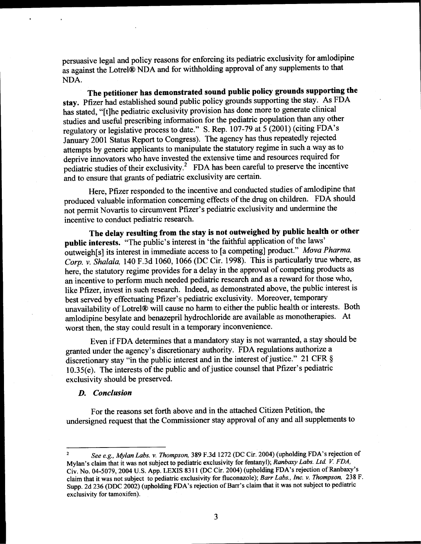persuasive legal and policy reasons for enforcing its pediatric exclusivity for amlodipine as against the Lotrel® NDA and for withholding approval of any supplements to that NDA.

The petitioner has demonstrated sound public policy grounds supporting the stay. Pfizer had established sound public policy grounds supporting the stay. As FDA has stated, "[t]he pediatric exclusivity provision has done more to generate clinical studies and useful prescribing information for the pediatric population than any other regulatory or legislative process to date." S. Rep. 107-79 at 5 (2001) (citing FDA's January 2001 Status Report to Congress). The agency has thus repeatedly rejected attempts by generic applicants to manipulate the statutory regime in such a way as to deprive innovators who have invested the extensive time and resources required for pediatric studies of their exclusivity.<sup>2</sup> FDA has been careful to preserve the incentive and to ensure that grants of pediatric exclusivity are certain.

Here, Pfizer responded to the incentive and conducted studies of amlodipine that produced valuable information concerning effects of the drug on children. FDA should not permit Novartis to circumvent Pfizer's pediatric exclusivity and undermine the incentive to conduct pediatric research.

The delay resulting from the stay is not outweighed by public health or other public interests. "The public's interest in 'the faithful application of the laws' outweigh[s] its interest in immediate access to [a competing] product." Mova Pharma. Corp. v. Shalala, 140 F.3d 1060, 1066 (DC Cir. 1998). This is particularly true where, as here, the statutory regime provides for a delay in the approval of competing products as an incentive to perform much needed pediatric research and as a reward for those who, like Pfizer, invest in such research. Indeed, as demonstrated above, the public interest is best served by effectuating Pfizer's pediatric exclusivity. Moreover, temporary unavailability of Lotrel® will cause no harm to either the public health or interests. Both amlodipine besylate and benazepril hydrochloride are available as monotherapies. At worst then, the stay could result in a temporary inconvenience.

Even if FDA determines that a mandatory stay is not warranted, a stay should be granted under the agency's discretionary authority. FDA regulations authorize a discretionary stay "in the public interest and in the interest of justice." 21 CFR § 10.35(e). The interests of the public and of justice counsel that Pfizer's pediatric exclusivity should be preserved.

### D. Conclusion

For the reasons set forth above and in the attached Citizen Petition, the undersigned request that the Commissioner stay approval of any and all supplements to

See e.g., Mylan Labs. v. Thompson, 389 F.3d 1272 (DC Cir. 2004) (upholding FDA's rejection of  $\overline{2}$ Mylan's claim that it was not subject to pediatric exclusivity for fentanyl); Ranbazy Labs. Ltd. Y. FDA, Civ. No. 04-5079,2004 U.S. App. LEXIS 8311 (DC Cir. 2004) (upholding FDA's rejection of Ranbaxy's claim that it was not subject to pediatric exclusivity for fluconazole); Barr Labs., Inc. v. Thompson, 238 F. Supp. 2d 236 (DDC 2002) (upholding FDA's rejection of Barr's claim that it was not subject to pediatric exclusivity for tamoxifen).